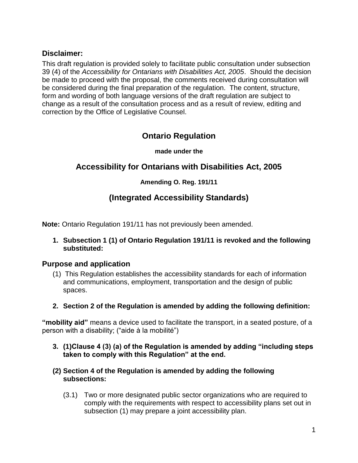## **Disclaimer:**

This draft regulation is provided solely to facilitate public consultation under subsection 39 (4) of the *Accessibility for Ontarians with Disabilities Act, 2005*. Should the decision be made to proceed with the proposal, the comments received during consultation will be considered during the final preparation of the regulation. The content, structure, form and wording of both language versions of the draft regulation are subject to change as a result of the consultation process and as a result of review, editing and correction by the Office of Legislative Counsel.

# **Ontario Regulation**

**made under the**

# **Accessibility for Ontarians with Disabilities Act, 2005**

## **Amending O. Reg. 191/11**

# **(Integrated Accessibility Standards)**

**Note:** Ontario Regulation 191/11 has not previously been amended.

**1. Subsection 1 (1) of Ontario Regulation 191/11 is revoked and the following substituted:**

## **Purpose and application**

- (1) This Regulation establishes the accessibility standards for each of information and communications, employment, transportation and the design of public spaces.
- **2. Section 2 of the Regulation is amended by adding the following definition:**

**"mobility aid"** means a device used to facilitate the transport, in a seated posture, of a person with a disability; ("aide à la mobilité")

- **3. (1)Clause 4 (3) (a) of the Regulation is amended by adding "including steps taken to comply with this Regulation" at the end.**
- **(2) Section 4 of the Regulation is amended by adding the following subsections:**
	- (3.1) Two or more designated public sector organizations who are required to comply with the requirements with respect to accessibility plans set out in subsection (1) may prepare a joint accessibility plan.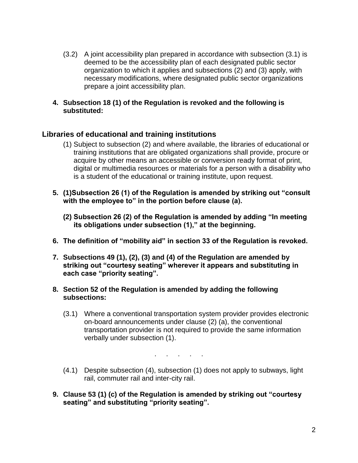- (3.2) A joint accessibility plan prepared in accordance with subsection (3.1) is deemed to be the accessibility plan of each designated public sector organization to which it applies and subsections (2) and (3) apply, with necessary modifications, where designated public sector organizations prepare a joint accessibility plan.
- **4. Subsection 18 (1) of the Regulation is revoked and the following is substituted:**

## **Libraries of educational and training institutions**

- (1) Subject to subsection (2) and where available, the libraries of educational or training institutions that are obligated organizations shall provide, procure or acquire by other means an accessible or conversion ready format of print, digital or multimedia resources or materials for a person with a disability who is a student of the educational or training institute, upon request.
- **5. (1)Subsection 26 (1) of the Regulation is amended by striking out "consult with the employee to" in the portion before clause (a).**
	- **(2) Subsection 26 (2) of the Regulation is amended by adding "In meeting its obligations under subsection (1)," at the beginning.**
- **6. The definition of "mobility aid" in section 33 of the Regulation is revoked.**
- **7. Subsections 49 (1), (2), (3) and (4) of the Regulation are amended by striking out "courtesy seating" wherever it appears and substituting in each case "priority seating".**
- **8. Section 52 of the Regulation is amended by adding the following subsections:**
	- (3.1) Where a conventional transportation system provider provides electronic on-board announcements under clause (2) (a), the conventional transportation provider is not required to provide the same information verbally under subsection (1).

. . . . .

- (4.1) Despite subsection (4), subsection (1) does not apply to subways, light rail, commuter rail and inter-city rail.
- **9. Clause 53 (1) (c) of the Regulation is amended by striking out "courtesy seating" and substituting "priority seating".**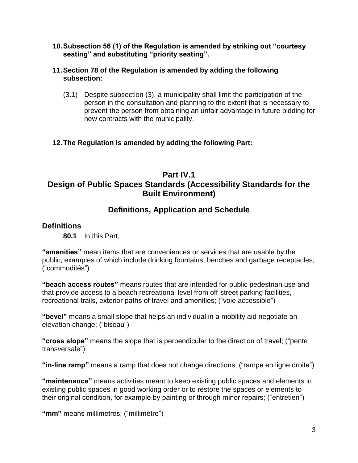**10.Subsection 56 (1) of the Regulation is amended by striking out "courtesy seating" and substituting "priority seating".**

#### **11.Section 78 of the Regulation is amended by adding the following subsection:**

(3.1) Despite subsection (3), a municipality shall limit the participation of the person in the consultation and planning to the extent that is necessary to prevent the person from obtaining an unfair advantage in future bidding for new contracts with the municipality.

## **12.The Regulation is amended by adding the following Part:**

# **Part IV.1 Design of Public Spaces Standards (Accessibility Standards for the Built Environment)**

## **Definitions, Application and Schedule**

## **Definitions**

**80.1** In this Part,

**"amenities"** mean items that are conveniences or services that are usable by the public, examples of which include drinking fountains, benches and garbage receptacles; ("commodités")

**"beach access routes"** means routes that are intended for public pedestrian use and that provide access to a beach recreational level from off-street parking facilities, recreational trails, exterior paths of travel and amenities; ("voie accessible")

**"bevel"** means a small slope that helps an individual in a mobility aid negotiate an elevation change; ("biseau")

**"cross slope"** means the slope that is perpendicular to the direction of travel; ("pente transversale")

**"in-line ramp"** means a ramp that does not change directions; ("rampe en ligne droite")

**"maintenance"** means activities meant to keep existing public spaces and elements in existing public spaces in good working order or to restore the spaces or elements to their original condition, for example by painting or through minor repairs; ("entretien")

**"mm"** means millimetres; ("millimètre")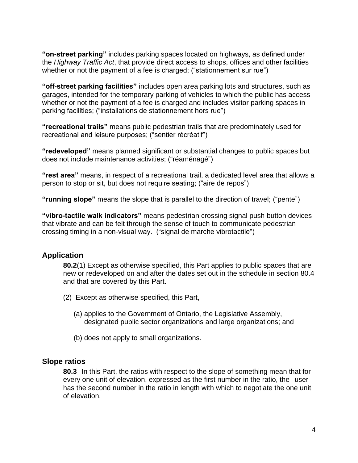**"on-street parking"** includes parking spaces located on highways, as defined under the *Highway Traffic Act*, that provide direct access to shops, offices and other facilities whether or not the payment of a fee is charged; ("stationnement sur rue")

**"off-street parking facilities"** includes open area parking lots and structures, such as garages, intended for the temporary parking of vehicles to which the public has access whether or not the payment of a fee is charged and includes visitor parking spaces in parking facilities; ("installations de stationnement hors rue")

**"recreational trails"** means public pedestrian trails that are predominately used for recreational and leisure purposes; ("sentier récréatif")

**"redeveloped"** means planned significant or substantial changes to public spaces but does not include maintenance activities; ("réaménagé")

**"rest area"** means, in respect of a recreational trail, a dedicated level area that allows a person to stop or sit, but does not require seating; ("aire de repos")

**"running slope"** means the slope that is parallel to the direction of travel; ("pente")

**"vibro-tactile walk indicators"** means pedestrian crossing signal push button devices that vibrate and can be felt through the sense of touch to communicate pedestrian crossing timing in a non-visual way. ("signal de marche vibrotactile")

## **Application**

**80.2**(1) Except as otherwise specified, this Part applies to public spaces that are new or redeveloped on and after the dates set out in the schedule in section 80.4 and that are covered by this Part.

- (2) Except as otherwise specified, this Part,
	- (a) applies to the Government of Ontario, the Legislative Assembly, designated public sector organizations and large organizations; and
	- (b) does not apply to small organizations.

## **Slope ratios**

**80.3** In this Part, the ratios with respect to the slope of something mean that for every one unit of elevation, expressed as the first number in the ratio, the user has the second number in the ratio in length with which to negotiate the one unit of elevation.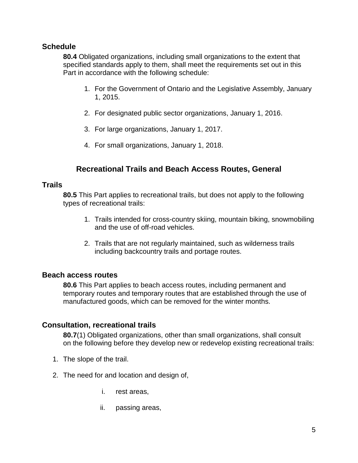## **Schedule**

**80.4** Obligated organizations, including small organizations to the extent that specified standards apply to them, shall meet the requirements set out in this Part in accordance with the following schedule:

- 1. For the Government of Ontario and the Legislative Assembly, January 1, 2015.
- 2. For designated public sector organizations, January 1, 2016.
- 3. For large organizations, January 1, 2017.
- 4. For small organizations, January 1, 2018.

## **Recreational Trails and Beach Access Routes, General**

#### **Trails**

**80.5** This Part applies to recreational trails, but does not apply to the following types of recreational trails:

- 1. Trails intended for cross-country skiing, mountain biking, snowmobiling and the use of off-road vehicles.
- 2. Trails that are not regularly maintained, such as wilderness trails including backcountry trails and portage routes.

## **Beach access routes**

**80.6** This Part applies to beach access routes, including permanent and temporary routes and temporary routes that are established through the use of manufactured goods, which can be removed for the winter months.

## **Consultation, recreational trails**

**80.7**(1) Obligated organizations, other than small organizations, shall consult on the following before they develop new or redevelop existing recreational trails:

- 1. The slope of the trail.
- 2. The need for and location and design of,
	- i. rest areas,
	- ii. passing areas,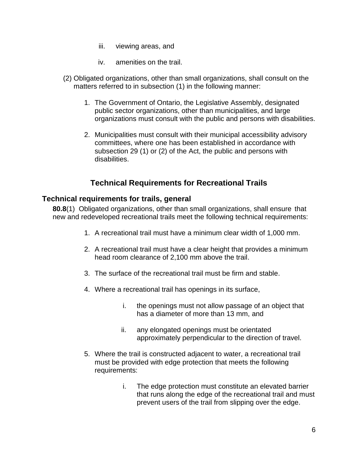- iii. viewing areas, and
- iv. amenities on the trail.
- (2) Obligated organizations, other than small organizations, shall consult on the matters referred to in subsection (1) in the following manner:
	- 1. The Government of Ontario, the Legislative Assembly, designated public sector organizations, other than municipalities, and large organizations must consult with the public and persons with disabilities.
	- 2. Municipalities must consult with their municipal accessibility advisory committees, where one has been established in accordance with subsection 29 (1) or (2) of the Act, the public and persons with disabilities.

## **Technical Requirements for Recreational Trails**

#### **Technical requirements for trails, general**

**80.8**(1) Obligated organizations, other than small organizations, shall ensure that new and redeveloped recreational trails meet the following technical requirements:

- 1. A recreational trail must have a minimum clear width of 1,000 mm.
- 2. A recreational trail must have a clear height that provides a minimum head room clearance of 2,100 mm above the trail.
- 3. The surface of the recreational trail must be firm and stable.
- 4. Where a recreational trail has openings in its surface,
	- i. the openings must not allow passage of an object that has a diameter of more than 13 mm, and
	- ii. any elongated openings must be orientated approximately perpendicular to the direction of travel.
- 5. Where the trail is constructed adjacent to water, a recreational trail must be provided with edge protection that meets the following requirements:
	- i. The edge protection must constitute an elevated barrier that runs along the edge of the recreational trail and must prevent users of the trail from slipping over the edge.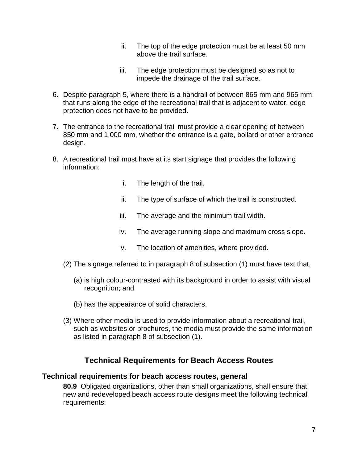- ii. The top of the edge protection must be at least 50 mm above the trail surface.
- iii. The edge protection must be designed so as not to impede the drainage of the trail surface.
- 6. Despite paragraph 5, where there is a handrail of between 865 mm and 965 mm that runs along the edge of the recreational trail that is adjacent to water, edge protection does not have to be provided.
- 7. The entrance to the recreational trail must provide a clear opening of between 850 mm and 1,000 mm, whether the entrance is a gate, bollard or other entrance design.
- 8. A recreational trail must have at its start signage that provides the following information:
	- i. The length of the trail.
	- ii. The type of surface of which the trail is constructed.
	- iii. The average and the minimum trail width.
	- iv. The average running slope and maximum cross slope.
	- v. The location of amenities, where provided.
	- (2) The signage referred to in paragraph 8 of subsection (1) must have text that,
		- (a) is high colour-contrasted with its background in order to assist with visual recognition; and
		- (b) has the appearance of solid characters.
	- (3) Where other media is used to provide information about a recreational trail, such as websites or brochures, the media must provide the same information as listed in paragraph 8 of subsection (1).

## **Technical Requirements for Beach Access Routes**

#### **Technical requirements for beach access routes, general**

**80.9** Obligated organizations, other than small organizations, shall ensure that new and redeveloped beach access route designs meet the following technical requirements: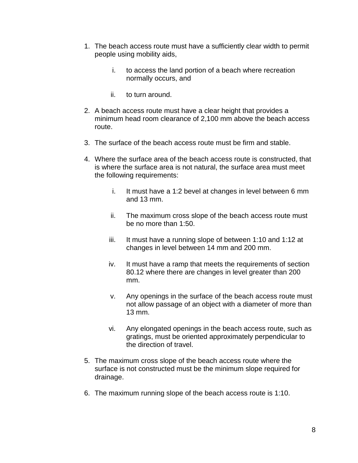- 1. The beach access route must have a sufficiently clear width to permit people using mobility aids,
	- i. to access the land portion of a beach where recreation normally occurs, and
	- ii. to turn around.
- 2. A beach access route must have a clear height that provides a minimum head room clearance of 2,100 mm above the beach access route.
- 3. The surface of the beach access route must be firm and stable.
- 4. Where the surface area of the beach access route is constructed, that is where the surface area is not natural, the surface area must meet the following requirements:
	- i. It must have a 1:2 bevel at changes in level between 6 mm and 13 mm.
	- ii. The maximum cross slope of the beach access route must be no more than 1:50.
	- iii. It must have a running slope of between 1:10 and 1:12 at changes in level between 14 mm and 200 mm.
	- iv. It must have a ramp that meets the requirements of section 80.12 where there are changes in level greater than 200 mm.
	- v. Any openings in the surface of the beach access route must not allow passage of an object with a diameter of more than 13 mm.
	- vi. Any elongated openings in the beach access route, such as gratings, must be oriented approximately perpendicular to the direction of travel.
- 5. The maximum cross slope of the beach access route where the surface is not constructed must be the minimum slope required for drainage.
- 6. The maximum running slope of the beach access route is 1:10.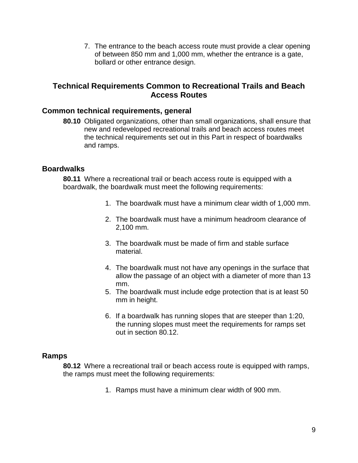7. The entrance to the beach access route must provide a clear opening of between 850 mm and 1,000 mm, whether the entrance is a gate, bollard or other entrance design.

## **Technical Requirements Common to Recreational Trails and Beach Access Routes**

## **Common technical requirements, general**

**80.10** Obligated organizations, other than small organizations, shall ensure that new and redeveloped recreational trails and beach access routes meet the technical requirements set out in this Part in respect of boardwalks and ramps.

#### **Boardwalks**

**80.11** Where a recreational trail or beach access route is equipped with a boardwalk, the boardwalk must meet the following requirements:

- 1. The boardwalk must have a minimum clear width of 1,000 mm.
- 2. The boardwalk must have a minimum headroom clearance of 2,100 mm.
- 3. The boardwalk must be made of firm and stable surface material.
- 4. The boardwalk must not have any openings in the surface that allow the passage of an object with a diameter of more than 13 mm.
- 5. The boardwalk must include edge protection that is at least 50 mm in height.
- 6. If a boardwalk has running slopes that are steeper than 1:20, the running slopes must meet the requirements for ramps set out in section 80.12.

#### **Ramps**

**80.12** Where a recreational trail or beach access route is equipped with ramps, the ramps must meet the following requirements:

1. Ramps must have a minimum clear width of 900 mm.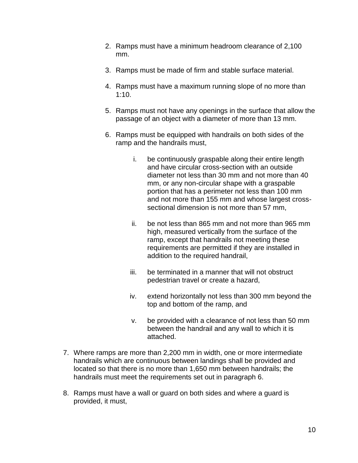- 2. Ramps must have a minimum headroom clearance of 2,100 mm.
- 3. Ramps must be made of firm and stable surface material.
- 4. Ramps must have a maximum running slope of no more than 1:10.
- 5. Ramps must not have any openings in the surface that allow the passage of an object with a diameter of more than 13 mm.
- 6. Ramps must be equipped with handrails on both sides of the ramp and the handrails must,
	- i. be continuously graspable along their entire length and have circular cross-section with an outside diameter not less than 30 mm and not more than 40 mm, or any non-circular shape with a graspable portion that has a perimeter not less than 100 mm and not more than 155 mm and whose largest crosssectional dimension is not more than 57 mm,
	- ii. be not less than 865 mm and not more than 965 mm high, measured vertically from the surface of the ramp, except that handrails not meeting these requirements are permitted if they are installed in addition to the required handrail,
	- iii. be terminated in a manner that will not obstruct pedestrian travel or create a hazard,
	- iv. extend horizontally not less than 300 mm beyond the top and bottom of the ramp, and
	- v. be provided with a clearance of not less than 50 mm between the handrail and any wall to which it is attached.
- 7. Where ramps are more than 2,200 mm in width, one or more intermediate handrails which are continuous between landings shall be provided and located so that there is no more than 1,650 mm between handrails; the handrails must meet the requirements set out in paragraph 6.
- 8. Ramps must have a wall or guard on both sides and where a guard is provided, it must,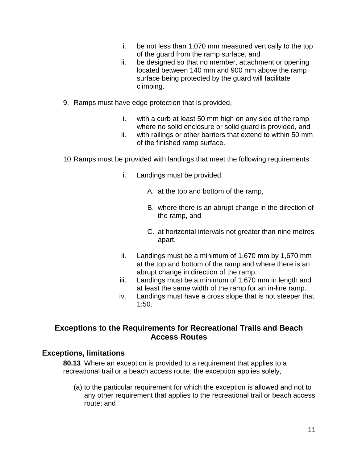- i. be not less than 1,070 mm measured vertically to the top of the guard from the ramp surface, and
- ii. be designed so that no member, attachment or opening located between 140 mm and 900 mm above the ramp surface being protected by the guard will facilitate climbing.
- 9. Ramps must have edge protection that is provided,
	- i. with a curb at least 50 mm high on any side of the ramp where no solid enclosure or solid guard is provided, and
	- ii. with railings or other barriers that extend to within 50 mm of the finished ramp surface.
- 10.Ramps must be provided with landings that meet the following requirements:
	- i. Landings must be provided,
		- A. at the top and bottom of the ramp,
		- B. where there is an abrupt change in the direction of the ramp, and
		- C. at horizontal intervals not greater than nine metres apart.
	- ii. Landings must be a minimum of 1,670 mm by 1,670 mm at the top and bottom of the ramp and where there is an abrupt change in direction of the ramp.
	- iii. Landings must be a minimum of 1,670 mm in length and at least the same width of the ramp for an in-line ramp.
	- iv. Landings must have a cross slope that is not steeper that 1:50.

## **Exceptions to the Requirements for Recreational Trails and Beach Access Routes**

## **Exceptions, limitations**

**80.13** Where an exception is provided to a requirement that applies to a recreational trail or a beach access route, the exception applies solely,

(a) to the particular requirement for which the exception is allowed and not to any other requirement that applies to the recreational trail or beach access route; and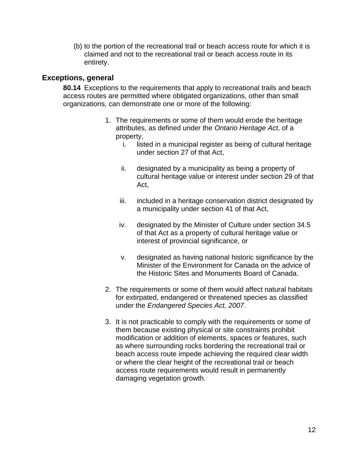(b) to the portion of the recreational trail or beach access route for which it is claimed and not to the recreational trail or beach access route in its entirety.

### **Exceptions, general**

**80.14** Exceptions to the requirements that apply to recreational trails and beach access routes are permitted where obligated organizations, other than small organizations, can demonstrate one or more of the following:

- 1. The requirements or some of them would erode the heritage attributes, as defined under the *Ontario Heritage Act*, of a property,
	- i. listed in a municipal register as being of cultural heritage under section 27 of that Act,
	- ii. designated by a municipality as being a property of cultural heritage value or interest under section 29 of that Act,
	- iii. included in a heritage conservation district designated by a municipality under section 41 of that Act,
	- iv. designated by the Minister of Culture under section 34.5 of that Act as a property of cultural heritage value or interest of provincial significance, or
	- v. designated as having national historic significance by the Minister of the Environment for Canada on the advice of the Historic Sites and Monuments Board of Canada.
- 2. The requirements or some of them would affect natural habitats for extirpated, endangered or threatened species as classified under the *Endangered Species Act, 2007*.
- 3. It is not practicable to comply with the requirements or some of them because existing physical or site constraints prohibit modification or addition of elements, spaces or features, such as where surrounding rocks bordering the recreational trail or beach access route impede achieving the required clear width or where the clear height of the recreational trail or beach access route requirements would result in permanently damaging vegetation growth.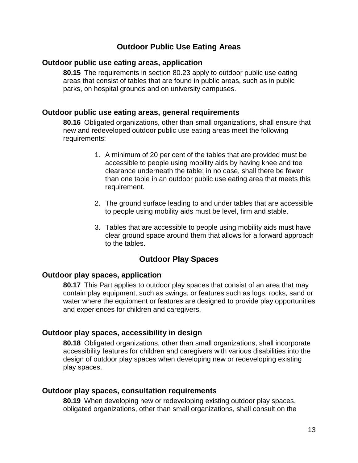## **Outdoor Public Use Eating Areas**

#### **Outdoor public use eating areas, application**

**80.15** The requirements in section 80.23 apply to outdoor public use eating areas that consist of tables that are found in public areas, such as in public parks, on hospital grounds and on university campuses.

### **Outdoor public use eating areas, general requirements**

**80.16** Obligated organizations, other than small organizations, shall ensure that new and redeveloped outdoor public use eating areas meet the following requirements:

- 1. A minimum of 20 per cent of the tables that are provided must be accessible to people using mobility aids by having knee and toe clearance underneath the table; in no case, shall there be fewer than one table in an outdoor public use eating area that meets this requirement.
- 2. The ground surface leading to and under tables that are accessible to people using mobility aids must be level, firm and stable.
- 3. Tables that are accessible to people using mobility aids must have clear ground space around them that allows for a forward approach to the tables.

## **Outdoor Play Spaces**

#### **Outdoor play spaces, application**

**80.17** This Part applies to outdoor play spaces that consist of an area that may contain play equipment, such as swings, or features such as logs, rocks, sand or water where the equipment or features are designed to provide play opportunities and experiences for children and caregivers.

## **Outdoor play spaces, accessibility in design**

**80.18** Obligated organizations, other than small organizations, shall incorporate accessibility features for children and caregivers with various disabilities into the design of outdoor play spaces when developing new or redeveloping existing play spaces.

#### **Outdoor play spaces, consultation requirements**

**80.19** When developing new or redeveloping existing outdoor play spaces, obligated organizations, other than small organizations, shall consult on the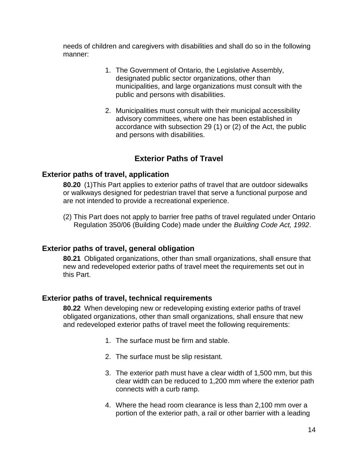needs of children and caregivers with disabilities and shall do so in the following manner:

- 1. The Government of Ontario, the Legislative Assembly, designated public sector organizations, other than municipalities, and large organizations must consult with the public and persons with disabilities.
- 2. Municipalities must consult with their municipal accessibility advisory committees, where one has been established in accordance with subsection 29 (1) or (2) of the Act, the public and persons with disabilities.

## **Exterior Paths of Travel**

#### **Exterior paths of travel, application**

**80.20** (1)This Part applies to exterior paths of travel that are outdoor sidewalks or walkways designed for pedestrian travel that serve a functional purpose and are not intended to provide a recreational experience.

(2) This Part does not apply to barrier free paths of travel regulated under Ontario Regulation 350/06 (Building Code) made under the *Building Code Act, 1992*.

## **Exterior paths of travel, general obligation**

**80.21** Obligated organizations, other than small organizations, shall ensure that new and redeveloped exterior paths of travel meet the requirements set out in this Part.

## **Exterior paths of travel, technical requirements**

**80.22** When developing new or redeveloping existing exterior paths of travel obligated organizations, other than small organizations, shall ensure that new and redeveloped exterior paths of travel meet the following requirements:

- 1. The surface must be firm and stable.
- 2. The surface must be slip resistant.
- 3. The exterior path must have a clear width of 1,500 mm, but this clear width can be reduced to 1,200 mm where the exterior path connects with a curb ramp.
- 4. Where the head room clearance is less than 2,100 mm over a portion of the exterior path, a rail or other barrier with a leading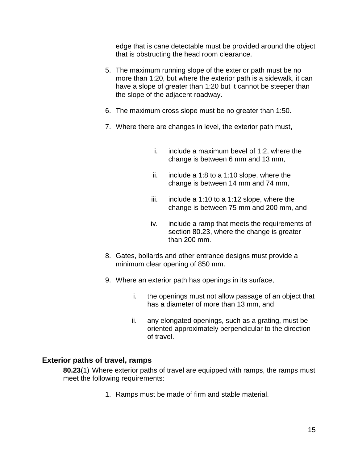edge that is cane detectable must be provided around the object that is obstructing the head room clearance.

- 5. The maximum running slope of the exterior path must be no more than 1:20, but where the exterior path is a sidewalk, it can have a slope of greater than 1:20 but it cannot be steeper than the slope of the adjacent roadway.
- 6. The maximum cross slope must be no greater than 1:50.
- 7. Where there are changes in level, the exterior path must,
	- i. include a maximum bevel of 1:2, where the change is between 6 mm and 13 mm,
	- ii. include a 1:8 to a 1:10 slope, where the change is between 14 mm and 74 mm,
	- iii. include a 1:10 to a 1:12 slope, where the change is between 75 mm and 200 mm, and
	- iv. include a ramp that meets the requirements of section 80.23, where the change is greater than 200 mm.
- 8. Gates, bollards and other entrance designs must provide a minimum clear opening of 850 mm.
- 9. Where an exterior path has openings in its surface,
	- i. the openings must not allow passage of an object that has a diameter of more than 13 mm, and
	- ii. any elongated openings, such as a grating, must be oriented approximately perpendicular to the direction of travel.

## **Exterior paths of travel, ramps**

**80.23**(1) Where exterior paths of travel are equipped with ramps, the ramps must meet the following requirements:

1. Ramps must be made of firm and stable material.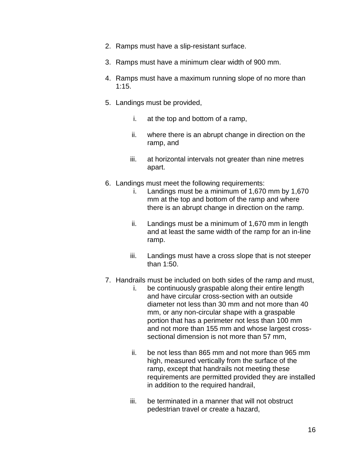- 2. Ramps must have a slip-resistant surface.
- 3. Ramps must have a minimum clear width of 900 mm.
- 4. Ramps must have a maximum running slope of no more than 1:15.
- 5. Landings must be provided,
	- i. at the top and bottom of a ramp,
	- ii. where there is an abrupt change in direction on the ramp, and
	- iii. at horizontal intervals not greater than nine metres apart.
- 6. Landings must meet the following requirements:
	- i. Landings must be a minimum of 1,670 mm by 1,670 mm at the top and bottom of the ramp and where there is an abrupt change in direction on the ramp.
	- ii. Landings must be a minimum of 1,670 mm in length and at least the same width of the ramp for an in-line ramp.
	- iii. Landings must have a cross slope that is not steeper than 1:50.
- 7. Handrails must be included on both sides of the ramp and must,
	- i. be continuously graspable along their entire length and have circular cross-section with an outside diameter not less than 30 mm and not more than 40 mm, or any non-circular shape with a graspable portion that has a perimeter not less than 100 mm and not more than 155 mm and whose largest crosssectional dimension is not more than 57 mm,
	- ii. be not less than 865 mm and not more than 965 mm high, measured vertically from the surface of the ramp, except that handrails not meeting these requirements are permitted provided they are installed in addition to the required handrail,
	- iii. be terminated in a manner that will not obstruct pedestrian travel or create a hazard,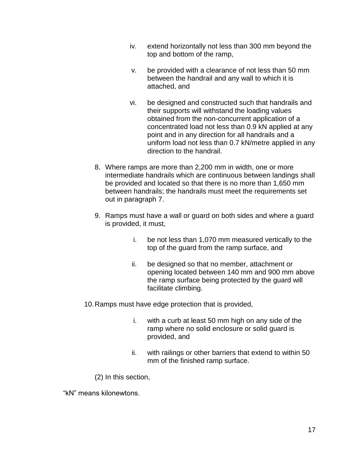- iv. extend horizontally not less than 300 mm beyond the top and bottom of the ramp,
- v. be provided with a clearance of not less than 50 mm between the handrail and any wall to which it is attached, and
- vi. be designed and constructed such that handrails and their supports will withstand the loading values obtained from the non-concurrent application of a concentrated load not less than 0.9 kN applied at any point and in any direction for all handrails and a uniform load not less than 0.7 kN/metre applied in any direction to the handrail.
- 8. Where ramps are more than 2,200 mm in width, one or more intermediate handrails which are continuous between landings shall be provided and located so that there is no more than 1,650 mm between handrails; the handrails must meet the requirements set out in paragraph 7.
- 9. Ramps must have a wall or guard on both sides and where a guard is provided, it must,
	- i. be not less than 1,070 mm measured vertically to the top of the guard from the ramp surface, and
	- ii. be designed so that no member, attachment or opening located between 140 mm and 900 mm above the ramp surface being protected by the guard will facilitate climbing.

10.Ramps must have edge protection that is provided,

- i. with a curb at least 50 mm high on any side of the ramp where no solid enclosure or solid guard is provided, and
- ii. with railings or other barriers that extend to within 50 mm of the finished ramp surface.

(2) In this section,

"kN" means kilonewtons.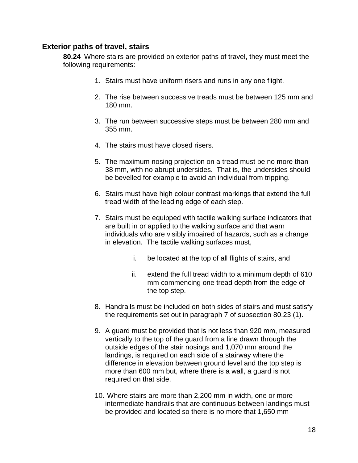#### **Exterior paths of travel, stairs**

**80.24** Where stairs are provided on exterior paths of travel, they must meet the following requirements:

- 1. Stairs must have uniform risers and runs in any one flight.
- 2. The rise between successive treads must be between 125 mm and 180 mm.
- 3. The run between successive steps must be between 280 mm and 355 mm.
- 4. The stairs must have closed risers.
- 5. The maximum nosing projection on a tread must be no more than 38 mm, with no abrupt undersides. That is, the undersides should be bevelled for example to avoid an individual from tripping.
- 6. Stairs must have high colour contrast markings that extend the full tread width of the leading edge of each step.
- 7. Stairs must be equipped with tactile walking surface indicators that are built in or applied to the walking surface and that warn individuals who are visibly impaired of hazards, such as a change in elevation. The tactile walking surfaces must,
	- i. be located at the top of all flights of stairs, and
	- ii. extend the full tread width to a minimum depth of 610 mm commencing one tread depth from the edge of the top step.
- 8. Handrails must be included on both sides of stairs and must satisfy the requirements set out in paragraph 7 of subsection 80.23 (1).
- 9. A guard must be provided that is not less than 920 mm, measured vertically to the top of the guard from a line drawn through the outside edges of the stair nosings and 1,070 mm around the landings, is required on each side of a stairway where the difference in elevation between ground level and the top step is more than 600 mm but, where there is a wall, a guard is not required on that side.
- 10. Where stairs are more than 2,200 mm in width, one or more intermediate handrails that are continuous between landings must be provided and located so there is no more that 1,650 mm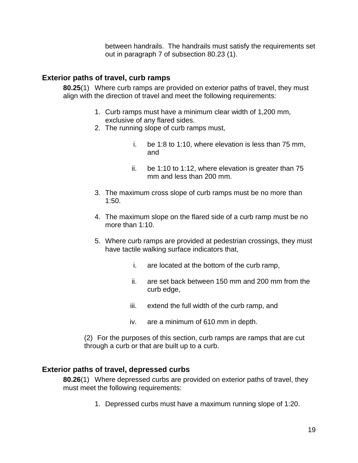between handrails. The handrails must satisfy the requirements set out in paragraph 7 of subsection 80.23 (1).

#### **Exterior paths of travel, curb ramps**

**80.25**(1) Where curb ramps are provided on exterior paths of travel, they must align with the direction of travel and meet the following requirements:

- 1. Curb ramps must have a minimum clear width of 1,200 mm, exclusive of any flared sides.
- 2. The running slope of curb ramps must,
	- i. be 1:8 to 1:10, where elevation is less than 75 mm, and
	- ii. be 1:10 to 1:12, where elevation is greater than 75 mm and less than 200 mm.
- 3. The maximum cross slope of curb ramps must be no more than 1:50.
- 4. The maximum slope on the flared side of a curb ramp must be no more than 1:10.
- 5. Where curb ramps are provided at pedestrian crossings, they must have tactile walking surface indicators that,
	- i. are located at the bottom of the curb ramp,
	- ii. are set back between 150 mm and 200 mm from the curb edge,
	- iii. extend the full width of the curb ramp, and
	- iv. are a minimum of 610 mm in depth.

(2) For the purposes of this section, curb ramps are ramps that are cut through a curb or that are built up to a curb.

#### **Exterior paths of travel, depressed curbs**

**80.26**(1) Where depressed curbs are provided on exterior paths of travel, they must meet the following requirements:

1. Depressed curbs must have a maximum running slope of 1:20.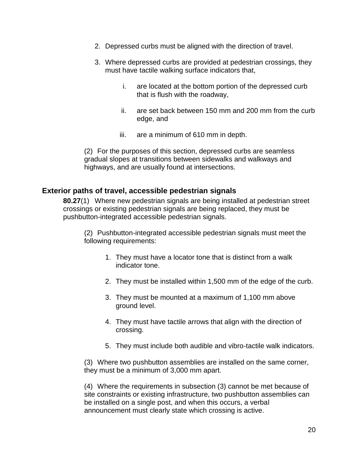- 2. Depressed curbs must be aligned with the direction of travel.
- 3. Where depressed curbs are provided at pedestrian crossings, they must have tactile walking surface indicators that,
	- i. are located at the bottom portion of the depressed curb that is flush with the roadway,
	- ii. are set back between 150 mm and 200 mm from the curb edge, and
	- iii. are a minimum of 610 mm in depth.

(2) For the purposes of this section, depressed curbs are seamless gradual slopes at transitions between sidewalks and walkways and highways, and are usually found at intersections.

#### **Exterior paths of travel, accessible pedestrian signals**

**80.27**(1) Where new pedestrian signals are being installed at pedestrian street crossings or existing pedestrian signals are being replaced, they must be pushbutton-integrated accessible pedestrian signals.

(2) Pushbutton-integrated accessible pedestrian signals must meet the following requirements:

- 1. They must have a locator tone that is distinct from a walk indicator tone.
- 2. They must be installed within 1,500 mm of the edge of the curb.
- 3. They must be mounted at a maximum of 1,100 mm above ground level.
- 4. They must have tactile arrows that align with the direction of crossing.
- 5. They must include both audible and vibro-tactile walk indicators.

(3) Where two pushbutton assemblies are installed on the same corner, they must be a minimum of 3,000 mm apart.

(4) Where the requirements in subsection (3) cannot be met because of site constraints or existing infrastructure, two pushbutton assemblies can be installed on a single post, and when this occurs, a verbal announcement must clearly state which crossing is active.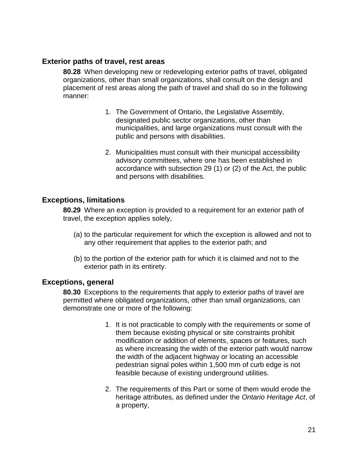#### **Exterior paths of travel, rest areas**

**80.28** When developing new or redeveloping exterior paths of travel, obligated organizations, other than small organizations, shall consult on the design and placement of rest areas along the path of travel and shall do so in the following manner:

- 1. The Government of Ontario, the Legislative Assembly, designated public sector organizations, other than municipalities, and large organizations must consult with the public and persons with disabilities.
- 2. Municipalities must consult with their municipal accessibility advisory committees, where one has been established in accordance with subsection 29 (1) or (2) of the Act, the public and persons with disabilities.

## **Exceptions, limitations**

**80.29** Where an exception is provided to a requirement for an exterior path of travel, the exception applies solely,

- (a) to the particular requirement for which the exception is allowed and not to any other requirement that applies to the exterior path; and
- (b) to the portion of the exterior path for which it is claimed and not to the exterior path in its entirety.

#### **Exceptions, general**

**80.30** Exceptions to the requirements that apply to exterior paths of travel are permitted where obligated organizations, other than small organizations, can demonstrate one or more of the following:

- 1. It is not practicable to comply with the requirements or some of them because existing physical or site constraints prohibit modification or addition of elements, spaces or features, such as where increasing the width of the exterior path would narrow the width of the adjacent highway or locating an accessible pedestrian signal poles within 1,500 mm of curb edge is not feasible because of existing underground utilities.
- 2. The requirements of this Part or some of them would erode the heritage attributes, as defined under the *Ontario Heritage Act*, of a property,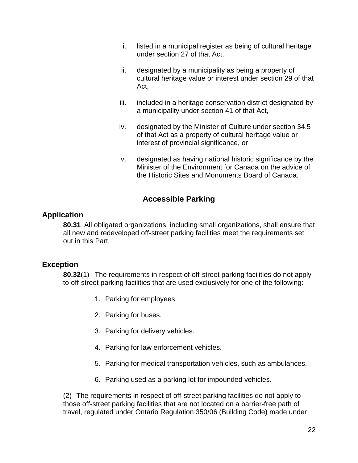- i. listed in a municipal register as being of cultural heritage under section 27 of that Act,
- ii. designated by a municipality as being a property of cultural heritage value or interest under section 29 of that Act,
- iii. included in a heritage conservation district designated by a municipality under section 41 of that Act,
- iv. designated by the Minister of Culture under section 34.5 of that Act as a property of cultural heritage value or interest of provincial significance, or
- v. designated as having national historic significance by the Minister of the Environment for Canada on the advice of the Historic Sites and Monuments Board of Canada.

## **Accessible Parking**

## **Application**

**80.31** All obligated organizations, including small organizations, shall ensure that all new and redeveloped off-street parking facilities meet the requirements set out in this Part.

## **Exception**

**80.32**(1) The requirements in respect of off-street parking facilities do not apply to off-street parking facilities that are used exclusively for one of the following:

- 1. Parking for employees.
- 2. Parking for buses.
- 3. Parking for delivery vehicles.
- 4. Parking for law enforcement vehicles.
- 5. Parking for medical transportation vehicles, such as ambulances.
- 6. Parking used as a parking lot for impounded vehicles.

(2) The requirements in respect of off-street parking facilities do not apply to those off-street parking facilities that are not located on a barrier-free path of travel, regulated under Ontario Regulation 350/06 (Building Code) made under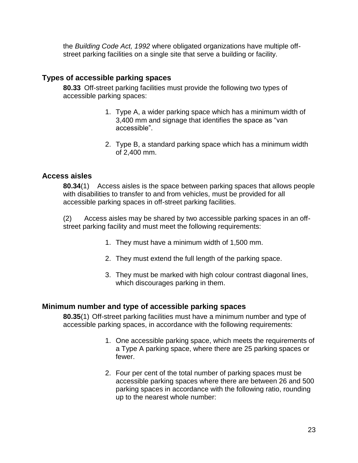the *Building Code Act, 1992* where obligated organizations have multiple offstreet parking facilities on a single site that serve a building or facility.

## **Types of accessible parking spaces**

**80.33** Off-street parking facilities must provide the following two types of accessible parking spaces:

- 1. Type A, a wider parking space which has a minimum width of 3,400 mm and signage that identifies the space as "van accessible".
- 2. Type B, a standard parking space which has a minimum width of 2,400 mm.

#### **Access aisles**

**80.34**(1) Access aisles is the space between parking spaces that allows people with disabilities to transfer to and from vehicles, must be provided for all accessible parking spaces in off-street parking facilities.

(2) Access aisles may be shared by two accessible parking spaces in an offstreet parking facility and must meet the following requirements:

- 1. They must have a minimum width of 1,500 mm.
- 2. They must extend the full length of the parking space.
- 3. They must be marked with high colour contrast diagonal lines, which discourages parking in them.

## **Minimum number and type of accessible parking spaces**

**80.35**(1) Off-street parking facilities must have a minimum number and type of accessible parking spaces, in accordance with the following requirements:

- 1. One accessible parking space, which meets the requirements of a Type A parking space, where there are 25 parking spaces or fewer.
- 2. Four per cent of the total number of parking spaces must be accessible parking spaces where there are between 26 and 500 parking spaces in accordance with the following ratio, rounding up to the nearest whole number: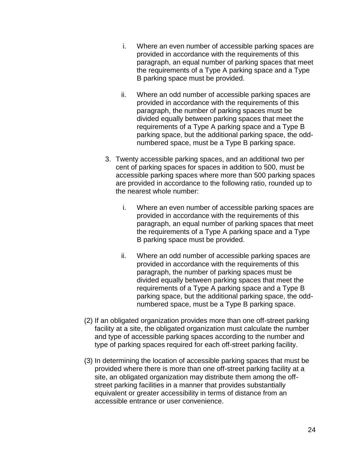- i. Where an even number of accessible parking spaces are provided in accordance with the requirements of this paragraph, an equal number of parking spaces that meet the requirements of a Type A parking space and a Type B parking space must be provided.
- ii. Where an odd number of accessible parking spaces are provided in accordance with the requirements of this paragraph, the number of parking spaces must be divided equally between parking spaces that meet the requirements of a Type A parking space and a Type B parking space, but the additional parking space, the oddnumbered space, must be a Type B parking space.
- 3. Twenty accessible parking spaces, and an additional two per cent of parking spaces for spaces in addition to 500, must be accessible parking spaces where more than 500 parking spaces are provided in accordance to the following ratio, rounded up to the nearest whole number:
	- i. Where an even number of accessible parking spaces are provided in accordance with the requirements of this paragraph, an equal number of parking spaces that meet the requirements of a Type A parking space and a Type B parking space must be provided.
	- ii. Where an odd number of accessible parking spaces are provided in accordance with the requirements of this paragraph, the number of parking spaces must be divided equally between parking spaces that meet the requirements of a Type A parking space and a Type B parking space, but the additional parking space, the oddnumbered space, must be a Type B parking space.
- (2) If an obligated organization provides more than one off-street parking facility at a site, the obligated organization must calculate the number and type of accessible parking spaces according to the number and type of parking spaces required for each off-street parking facility.
- (3) In determining the location of accessible parking spaces that must be provided where there is more than one off-street parking facility at a site, an obligated organization may distribute them among the offstreet parking facilities in a manner that provides substantially equivalent or greater accessibility in terms of distance from an accessible entrance or user convenience.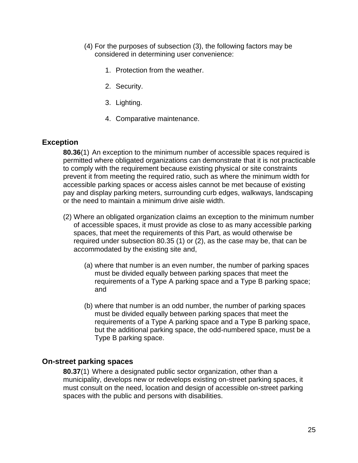- (4) For the purposes of subsection (3), the following factors may be considered in determining user convenience:
	- 1. Protection from the weather.
	- 2. Security.
	- 3. Lighting.
	- 4. Comparative maintenance.

#### **Exception**

**80.36**(1) An exception to the minimum number of accessible spaces required is permitted where obligated organizations can demonstrate that it is not practicable to comply with the requirement because existing physical or site constraints prevent it from meeting the required ratio, such as where the minimum width for accessible parking spaces or access aisles cannot be met because of existing pay and display parking meters, surrounding curb edges, walkways, landscaping or the need to maintain a minimum drive aisle width.

- (2) Where an obligated organization claims an exception to the minimum number of accessible spaces, it must provide as close to as many accessible parking spaces, that meet the requirements of this Part, as would otherwise be required under subsection 80.35 (1) or (2), as the case may be, that can be accommodated by the existing site and,
	- (a) where that number is an even number, the number of parking spaces must be divided equally between parking spaces that meet the requirements of a Type A parking space and a Type B parking space; and
	- (b) where that number is an odd number, the number of parking spaces must be divided equally between parking spaces that meet the requirements of a Type A parking space and a Type B parking space, but the additional parking space, the odd-numbered space, must be a Type B parking space.

#### **On-street parking spaces**

**80.37**(1) Where a designated public sector organization, other than a municipality, develops new or redevelops existing on-street parking spaces, it must consult on the need, location and design of accessible on-street parking spaces with the public and persons with disabilities.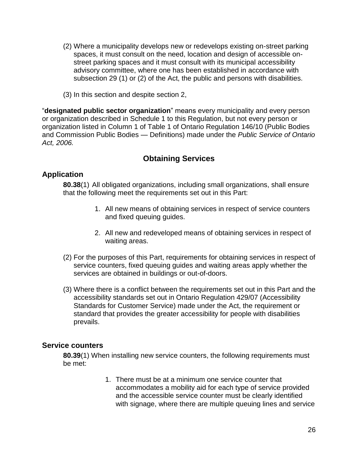- (2) Where a municipality develops new or redevelops existing on-street parking spaces, it must consult on the need, location and design of accessible onstreet parking spaces and it must consult with its municipal accessibility advisory committee, where one has been established in accordance with subsection 29 (1) or (2) of the Act, the public and persons with disabilities.
- (3) In this section and despite section 2,

"**designated public sector organization**" means every municipality and every person or organization described in Schedule 1 to this Regulation, but not every person or organization listed in Column 1 of Table 1 of Ontario Regulation 146/10 (Public Bodies and Commission Public Bodies — Definitions) made under the *Public Service of Ontario Act, 2006.*

## **Obtaining Services**

## **Application**

**80.38**(1) All obligated organizations, including small organizations, shall ensure that the following meet the requirements set out in this Part:

- 1. All new means of obtaining services in respect of service counters and fixed queuing guides.
- 2. All new and redeveloped means of obtaining services in respect of waiting areas.
- (2) For the purposes of this Part, requirements for obtaining services in respect of service counters, fixed queuing guides and waiting areas apply whether the services are obtained in buildings or out-of-doors.
- (3) Where there is a conflict between the requirements set out in this Part and the accessibility standards set out in Ontario Regulation 429/07 (Accessibility Standards for Customer Service) made under the Act, the requirement or standard that provides the greater accessibility for people with disabilities prevails.

#### **Service counters**

**80.39**(1) When installing new service counters, the following requirements must be met:

> 1. There must be at a minimum one service counter that accommodates a mobility aid for each type of service provided and the accessible service counter must be clearly identified with signage, where there are multiple queuing lines and service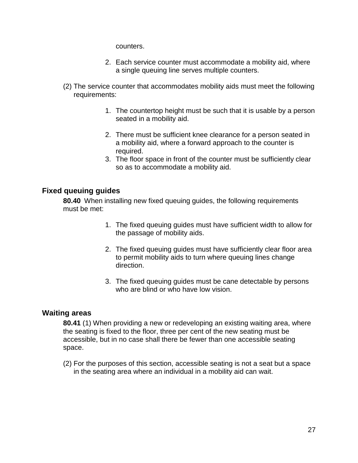counters.

- 2. Each service counter must accommodate a mobility aid, where a single queuing line serves multiple counters.
- (2) The service counter that accommodates mobility aids must meet the following requirements:
	- 1. The countertop height must be such that it is usable by a person seated in a mobility aid.
	- 2. There must be sufficient knee clearance for a person seated in a mobility aid, where a forward approach to the counter is required.
	- 3. The floor space in front of the counter must be sufficiently clear so as to accommodate a mobility aid.

## **Fixed queuing guides**

**80.40** When installing new fixed queuing guides, the following requirements must be met:

- 1. The fixed queuing guides must have sufficient width to allow for the passage of mobility aids.
- 2. The fixed queuing guides must have sufficiently clear floor area to permit mobility aids to turn where queuing lines change direction.
- 3. The fixed queuing guides must be cane detectable by persons who are blind or who have low vision.

## **Waiting areas**

**80.41** (1) When providing a new or redeveloping an existing waiting area, where the seating is fixed to the floor, three per cent of the new seating must be accessible, but in no case shall there be fewer than one accessible seating space.

(2) For the purposes of this section, accessible seating is not a seat but a space in the seating area where an individual in a mobility aid can wait.